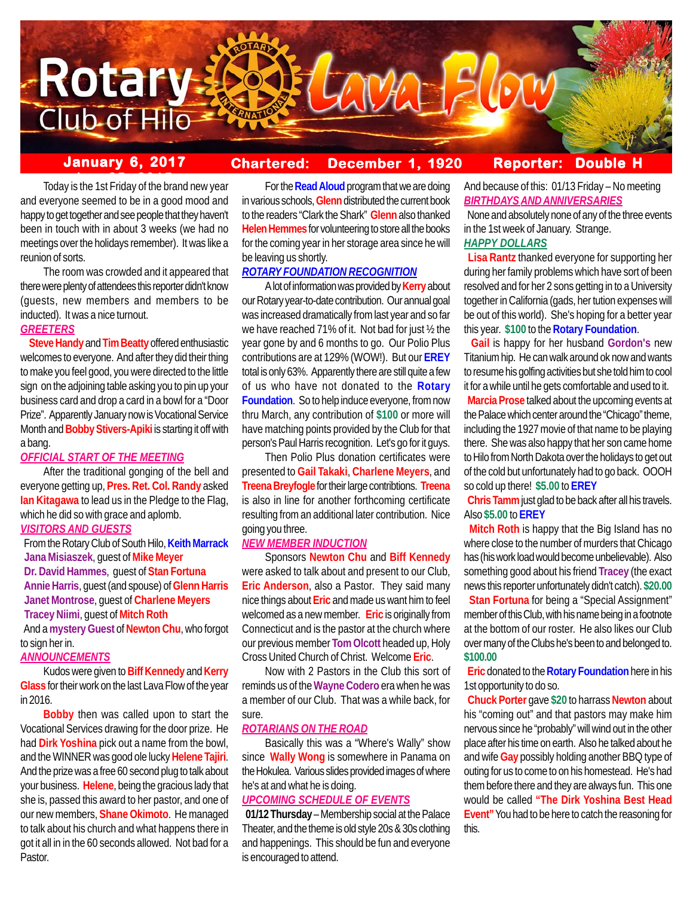

#### **January 6, 2017 Chartered: December 1, 1920 Reporter: Double**

**Today is the 1st Friday of the brand new year** and everyone seemed to be in a good mood and happy to get together and see people that they haven't been in touch with in about 3 weeks (we had no meetings over the holidays remember). It was like a reunion of sorts.

The room was crowded and it appeared that there were plenty of attendees this reporter didn't know (guests, new members and members to be inducted). It was a nice turnout.

# *GREETERS*

 **Steve Handy** and **Tim Beatty** offered enthusiastic welcomes to everyone. And after they did their thing to make you feel good, you were directed to the little sign on the adjoining table asking you to pin up your business card and drop a card in a bowl for a "Door Prize". Apparently January now is Vocational Service Month and **Bobby Stivers-Apiki** is starting it off with a bang.

# *OFFICIAL START OF THE MEETING*

After the traditional gonging of the bell and everyone getting up, **Pres. Ret. Col. Randy** asked **Ian Kitagawa** to lead us in the Pledge to the Flag, which he did so with grace and aplomb.

### *VISITORS AND GUESTS*

 From the Rotary Club of South Hilo, **Keith Marrack Jana Misiaszek**, guest of **Mike Meyer Dr. David Hammes**, guest of **Stan Fortuna Annie Harris**, guest (and spouse) of **Glenn Harris Janet Montrose**, guest of **Charlene Meyers Tracey Niimi**, guest of **Mitch Roth** And a **mystery Guest** of **Newton Chu**, who forgot

to sign her in.

#### *ANNOUNCEMENTS*

Kudos were given to **Biff Kennedy** and **Kerry Glass** for their work on the last Lava Flow of the year in 2016.

**Bobby** then was called upon to start the Vocational Services drawing for the door prize. He had **Dirk Yoshina** pick out a name from the bowl, and the WINNER was good ole lucky **Helene Tajiri**. And the prize was a free 60 second plug to talk about your business. **Helene**, being the gracious lady that she is, passed this award to her pastor, and one of our new members, **Shane Okimoto**. He managed to talk about his church and what happens there in got it all in in the 60 seconds allowed. Not bad for a Pastor.

For the **Read Aloud** program that we are doing in various schools, **Glenn** distributed the current book to the readers "Clark the Shark" **Glenn** also thanked **Helen Hemmes** for volunteering to store all the books for the coming year in her storage area since he will be leaving us shortly.

### *ROTARY FOUNDATION RECOGNITION*

A lot of information was provided by **Kerry** about our Rotary year-to-date contribution. Our annual goal was increased dramatically from last year and so far we have reached 71% of it. Not bad for just ½ the year gone by and 6 months to go. Our Polio Plus contributions are at 129% (WOW!). But our **EREY** total is only 63%. Apparently there are still quite a few of us who have not donated to the **Rotary Foundation**. So to help induce everyone, from now thru March, any contribution of **\$100** or more will have matching points provided by the Club for that person's Paul Harris recognition. Let's go for it guys.

Then Polio Plus donation certificates were presented to **Gail Takaki**, **Charlene Meyers**, and **Treena Breyfogle** for their large contribtions. **Treena** is also in line for another forthcoming certificate resulting from an additional later contribution. Nice going you three.

# *NEW MEMBER INDUCTION*

Sponsors **Newton Chu** and **Biff Kennedy** were asked to talk about and present to our Club, **Eric Anderson**, also a Pastor. They said many nice things about **Eric** and made us want him to feel welcomed as a new member. **Eric** is originally from Connecticut and is the pastor at the church where our previous member **Tom Olcott** headed up, Holy Cross United Church of Christ. Welcome **Eric**.

Now with 2 Pastors in the Club this sort of reminds us of the **Wayne Codero** era when he was a member of our Club. That was a while back, for sure.

# *ROTARIANS ON THE ROAD*

Basically this was a "Where's Wally" show since **Wally Wong** is somewhere in Panama on the Hokulea. Various slides provided images of where he's at and what he is doing.

# *UPCOMING SCHEDULE OF EVENTS*

 **01/12 Thursday** – Membership social at the Palace Theater, and the theme is old style 20s & 30s clothing and happenings. This should be fun and everyone is encouraged to attend.

# And because of this: 01/13 Friday – No meeting *BIRTHDAYS AND ANNIVERSARIES*

 None and absolutely none of any of the three events in the 1st week of January. Strange. *HAPPY DOLLARS*

 **Lisa Rantz** thanked everyone for supporting her during her family problems which have sort of been resolved and for her 2 sons getting in to a University together in California (gads, her tution expenses will be out of this world). She's hoping for a better year this year. **\$100** to the **Rotary Foundation**.

 **Gail** is happy for her husband **Gordon's** new Titanium hip. He can walk around ok now and wants to resume his golfing activities but she told him to cool it for a while until he gets comfortable and used to it. **Marcia Prose** talked about the upcoming events at the Palace which center around the "Chicago" theme, including the 1927 movie of that name to be playing there. She was also happy that her son came home to Hilo from North Dakota over the holidays to get out of the cold but unfortunately had to go back. OOOH so cold up there! **\$5.00** to **EREY**

 **Chris Tamm** just glad to be back after all his travels. Also **\$5.00** to **EREY**

 **Mitch Roth** is happy that the Big Island has no where close to the number of murders that Chicago has (his work load would become unbelievable). Also something good about his friend **Tracey** (the exact news this reporter unfortunately didn't catch). **\$20.00**

 **Stan Fortuna** for being a "Special Assignment" member of this Club, with his name being in a footnote at the bottom of our roster. He also likes our Club over many of the Clubs he's been to and belonged to. **\$100.00**

 **Eric** donated to the **Rotary Foundation** here in his 1st opportunity to do so.

 **Chuck Porter** gave **\$20** to harrass **Newton** about his "coming out" and that pastors may make him nervous since he "probably" will wind out in the other place after his time on earth. Also he talked about he and wife **Gay** possibly holding another BBQ type of outing for us to come to on his homestead. He's had them before there and they are always fun. This one would be called **"The Dirk Yoshina Best Head Event"** You had to be here to catch the reasoning for this.